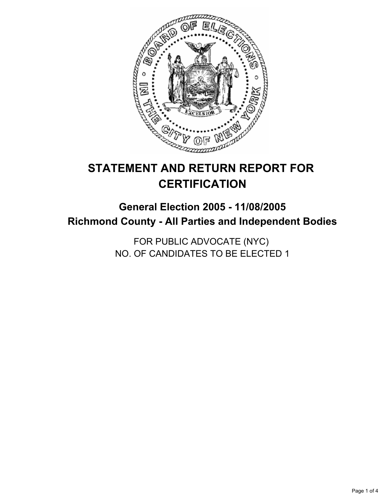

# **STATEMENT AND RETURN REPORT FOR CERTIFICATION**

# **General Election 2005 - 11/08/2005 Richmond County - All Parties and Independent Bodies**

FOR PUBLIC ADVOCATE (NYC) NO. OF CANDIDATES TO BE ELECTED 1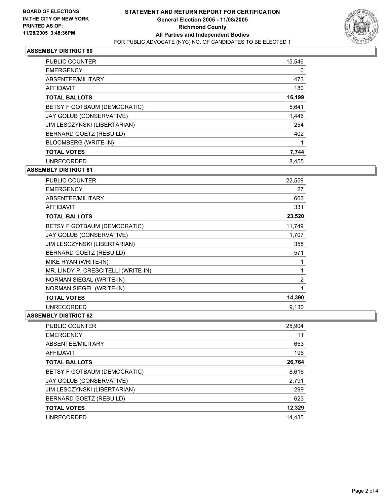

#### **ASSEMBLY DISTRICT 60**

| <b>PUBLIC COUNTER</b>        | 15,546 |
|------------------------------|--------|
| <b>EMERGENCY</b>             | 0      |
| ABSENTEE/MILITARY            | 473    |
| <b>AFFIDAVIT</b>             | 180    |
| <b>TOTAL BALLOTS</b>         | 16,199 |
| BETSY F GOTBAUM (DEMOCRATIC) | 5,641  |
| JAY GOLUB (CONSERVATIVE)     | 1,446  |
| JIM LESCZYNSKI (LIBERTARIAN) | 254    |
| BERNARD GOETZ (REBUILD)      | 402    |
| BLOOMBERG (WRITE-IN)         |        |
| <b>TOTAL VOTES</b>           | 7,744  |
| <b>UNRECORDED</b>            | 8.455  |

**ASSEMBLY DISTRICT 61**

| PUBLIC COUNTER                      | 22,559         |
|-------------------------------------|----------------|
| <b>EMERGENCY</b>                    | 27             |
| ABSENTEE/MILITARY                   | 603            |
| <b>AFFIDAVIT</b>                    | 331            |
| <b>TOTAL BALLOTS</b>                | 23,520         |
| BETSY F GOTBAUM (DEMOCRATIC)        | 11,749         |
| JAY GOLUB (CONSERVATIVE)            | 1,707          |
| JIM LESCZYNSKI (LIBERTARIAN)        | 358            |
| BERNARD GOETZ (REBUILD)             | 571            |
| MIKE RYAN (WRITE-IN)                |                |
| MR. LINDY P. CRESCITELLI (WRITE-IN) |                |
| NORMAN SIEGAL (WRITE-IN)            | $\overline{2}$ |
| NORMAN SIEGEL (WRITE-IN)            |                |
| <b>TOTAL VOTES</b>                  | 14,390         |
| <b>UNRECORDED</b>                   | 9.130          |

#### **ASSEMBLY DISTRICT 62**

| 25,904 |
|--------|
| 11     |
| 653    |
| 196    |
| 26,764 |
| 8,616  |
| 2,791  |
| 299    |
| 623    |
| 12,329 |
| 14.435 |
|        |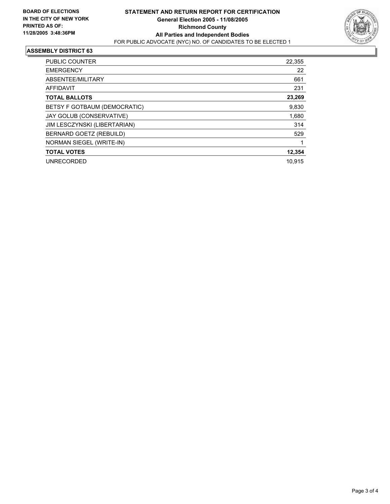

#### **ASSEMBLY DISTRICT 63**

| PUBLIC COUNTER               | 22,355 |
|------------------------------|--------|
| <b>EMERGENCY</b>             | 22     |
| ABSENTEE/MILITARY            | 661    |
| AFFIDAVIT                    | 231    |
| <b>TOTAL BALLOTS</b>         | 23,269 |
| BETSY F GOTBAUM (DEMOCRATIC) | 9,830  |
| JAY GOLUB (CONSERVATIVE)     | 1,680  |
| JIM LESCZYNSKI (LIBERTARIAN) | 314    |
| BERNARD GOETZ (REBUILD)      | 529    |
| NORMAN SIEGEL (WRITE-IN)     |        |
| <b>TOTAL VOTES</b>           | 12,354 |
| <b>UNRECORDED</b>            | 10.915 |